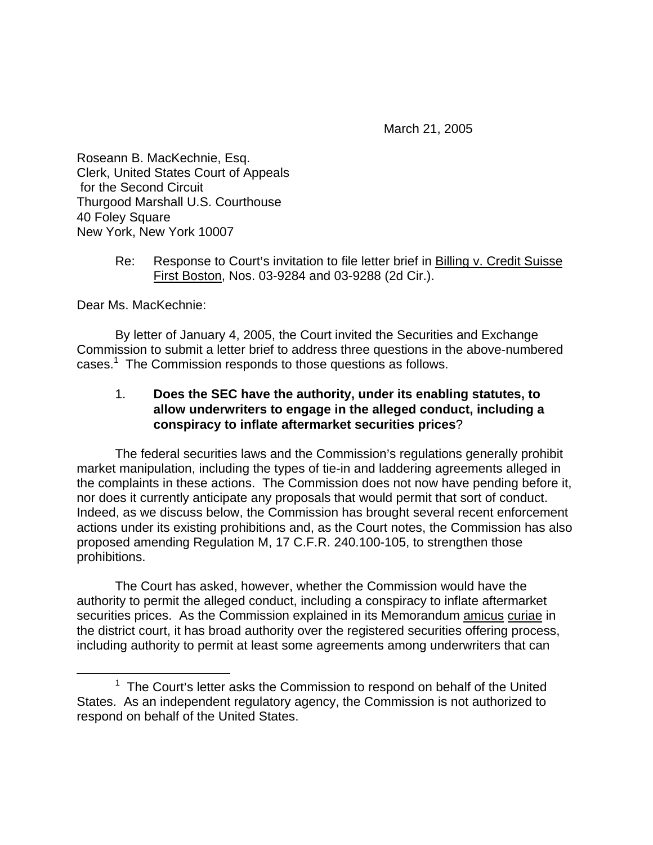March 21, 2005

Roseann B. MacKechnie, Esq. Clerk, United States Court of Appeals for the Second Circuit Thurgood Marshall U.S. Courthouse 40 Foley Square New York, New York 10007

## Re: Response to Court's invitation to file letter brief in Billing v. Credit Suisse First Boston, Nos. 03-9284 and 03-9288 (2d Cir.).

Dear Ms. MacKechnie:

By letter of January 4, 2005, the Court invited the Securities and Exchange Commission to submit a letter brief to address three questions in the above-numbered cases. $1$  The Commission responds to those questions as follows.

## 1. **Does the SEC have the authority, under its enabling statutes, to allow underwriters to engage in the alleged conduct, including a conspiracy to inflate aftermarket securities prices**?

The federal securities laws and the Commission's regulations generally prohibit market manipulation, including the types of tie-in and laddering agreements alleged in the complaints in these actions. The Commission does not now have pending before it, nor does it currently anticipate any proposals that would permit that sort of conduct. Indeed, as we discuss below, the Commission has brought several recent enforcement actions under its existing prohibitions and, as the Court notes, the Commission has also proposed amending Regulation M, 17 C.F.R. 240.100-105, to strengthen those prohibitions.

The Court has asked, however, whether the Commission would have the authority to permit the alleged conduct, including a conspiracy to inflate aftermarket securities prices. As the Commission explained in its Memorandum amicus curiae in the district court, it has broad authority over the registered securities offering process, including authority to permit at least some agreements among underwriters that can

 $\frac{1}{1}$  $1$  The Court's letter asks the Commission to respond on behalf of the United States. As an independent regulatory agency, the Commission is not authorized to respond on behalf of the United States.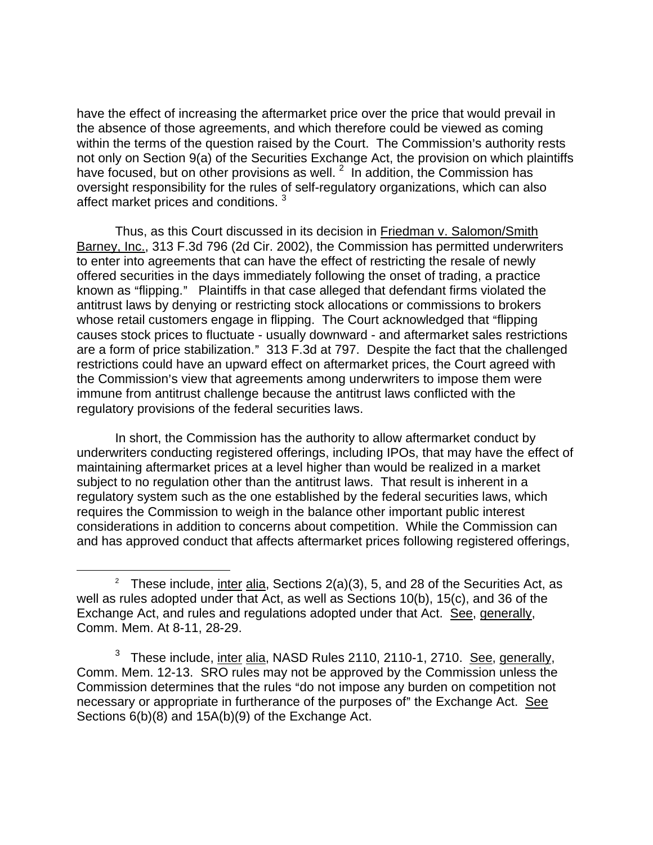have the effect of increasing the aftermarket price over the price that would prevail in the absence of those agreements, and which therefore could be viewed as coming within the terms of the question raised by the Court. The Commission's authority rests not only on Section 9(a) of the Securities Exchange Act, the provision on which plaintiffs have focused, but on other provisions as well.  $2\,$  In addition, the Commission has oversight responsibility for the rules of self-regulatory organizations, which can also affect market prices and conditions.<sup>3</sup>

Thus, as this Court discussed in its decision in Friedman v. Salomon/Smith Barney, Inc., 313 F.3d 796 (2d Cir. 2002), the Commission has permitted underwriters to enter into agreements that can have the effect of restricting the resale of newly offered securities in the days immediately following the onset of trading, a practice known as "flipping." Plaintiffs in that case alleged that defendant firms violated the antitrust laws by denying or restricting stock allocations or commissions to brokers whose retail customers engage in flipping. The Court acknowledged that "flipping" causes stock prices to fluctuate - usually downward - and aftermarket sales restrictions are a form of price stabilization." 313 F.3d at 797. Despite the fact that the challenged restrictions could have an upward effect on aftermarket prices, the Court agreed with the Commission's view that agreements among underwriters to impose them were immune from antitrust challenge because the antitrust laws conflicted with the regulatory provisions of the federal securities laws.

In short, the Commission has the authority to allow aftermarket conduct by underwriters conducting registered offerings, including IPOs, that may have the effect of maintaining aftermarket prices at a level higher than would be realized in a market subject to no regulation other than the antitrust laws. That result is inherent in a regulatory system such as the one established by the federal securities laws, which requires the Commission to weigh in the balance other important public interest considerations in addition to concerns about competition. While the Commission can and has approved conduct that affects aftermarket prices following registered offerings,

 $\overline{a}$ 

<sup>&</sup>lt;sup>2</sup> These include, *inter alia*, Sections  $2(a)(3)$ , 5, and 28 of the Securities Act, as well as rules adopted under that Act, as well as Sections 10(b), 15(c), and 36 of the Exchange Act, and rules and regulations adopted under that Act. See, generally, Comm. Mem. At 8-11, 28-29.

<sup>&</sup>lt;sup>3</sup> These include, <u>inter alia</u>, NASD Rules 2110, 2110-1, 2710. See, generally, Comm. Mem. 12-13. SRO rules may not be approved by the Commission unless the Commission determines that the rules "do not impose any burden on competition not necessary or appropriate in furtherance of the purposes of" the Exchange Act. See Sections 6(b)(8) and 15A(b)(9) of the Exchange Act.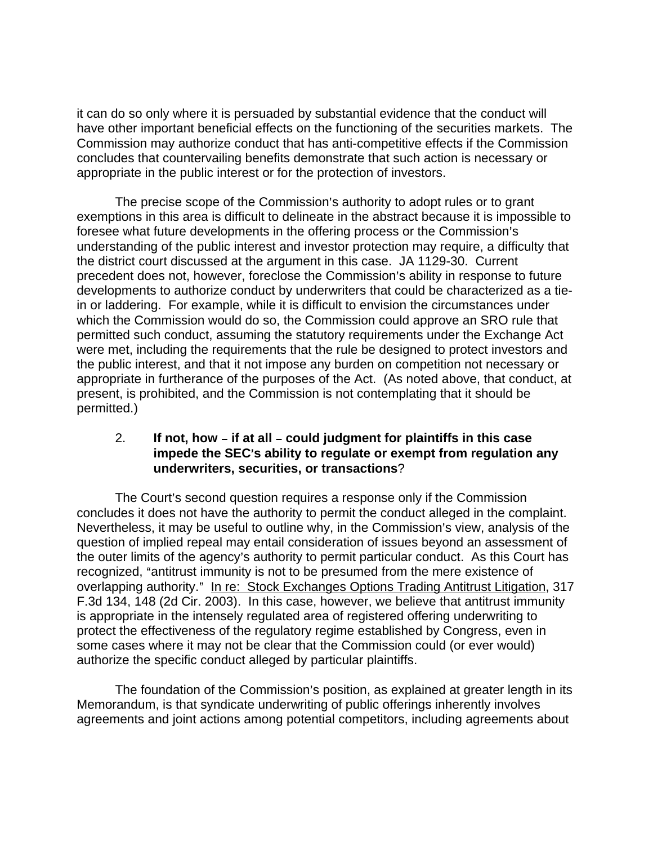it can do so only where it is persuaded by substantial evidence that the conduct will have other important beneficial effects on the functioning of the securities markets. The Commission may authorize conduct that has anti-competitive effects if the Commission concludes that countervailing benefits demonstrate that such action is necessary or appropriate in the public interest or for the protection of investors.

The precise scope of the Commission's authority to adopt rules or to grant exemptions in this area is difficult to delineate in the abstract because it is impossible to foresee what future developments in the offering process or the Commission's understanding of the public interest and investor protection may require, a difficulty that the district court discussed at the argument in this case. JA 1129-30. Current precedent does not, however, foreclose the Commission's ability in response to future developments to authorize conduct by underwriters that could be characterized as a tiein or laddering. For example, while it is difficult to envision the circumstances under which the Commission would do so, the Commission could approve an SRO rule that permitted such conduct, assuming the statutory requirements under the Exchange Act were met, including the requirements that the rule be designed to protect investors and the public interest, and that it not impose any burden on competition not necessary or appropriate in furtherance of the purposes of the Act. (As noted above, that conduct, at present, is prohibited, and the Commission is not contemplating that it should be permitted.)

## 2. **If not, how – if at all – could judgment for plaintiffs in this case impede the SEC**=**s ability to regulate or exempt from regulation any underwriters, securities, or transactions**?

The Court's second question requires a response only if the Commission concludes it does not have the authority to permit the conduct alleged in the complaint. Nevertheless, it may be useful to outline why, in the Commission's view, analysis of the question of implied repeal may entail consideration of issues beyond an assessment of the outer limits of the agency's authority to permit particular conduct. As this Court has recognized, "antitrust immunity is not to be presumed from the mere existence of overlapping authority." In re: Stock Exchanges Options Trading Antitrust Litigation, 317 F.3d 134, 148 (2d Cir. 2003). In this case, however, we believe that antitrust immunity is appropriate in the intensely regulated area of registered offering underwriting to protect the effectiveness of the regulatory regime established by Congress, even in some cases where it may not be clear that the Commission could (or ever would) authorize the specific conduct alleged by particular plaintiffs.

The foundation of the Commission's position, as explained at greater length in its Memorandum, is that syndicate underwriting of public offerings inherently involves agreements and joint actions among potential competitors, including agreements about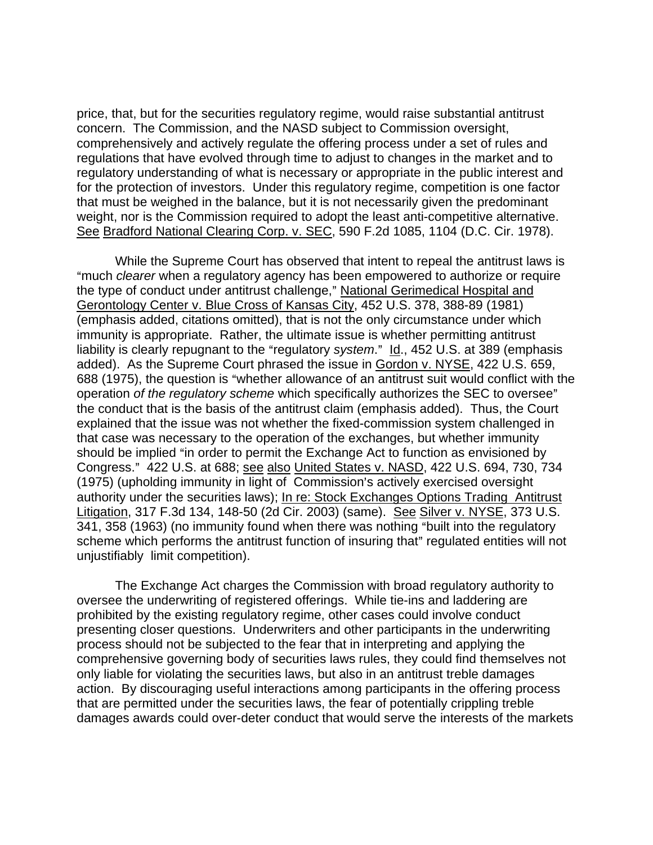price, that, but for the securities regulatory regime, would raise substantial antitrust concern. The Commission, and the NASD subject to Commission oversight, comprehensively and actively regulate the offering process under a set of rules and regulations that have evolved through time to adjust to changes in the market and to regulatory understanding of what is necessary or appropriate in the public interest and for the protection of investors. Under this regulatory regime, competition is one factor that must be weighed in the balance, but it is not necessarily given the predominant weight, nor is the Commission required to adopt the least anti-competitive alternative. See Bradford National Clearing Corp. v. SEC, 590 F.2d 1085, 1104 (D.C. Cir. 1978).

While the Supreme Court has observed that intent to repeal the antitrust laws is "much *clearer* when a regulatory agency has been empowered to authorize or require the type of conduct under antitrust challenge," National Gerimedical Hospital and Gerontology Center v. Blue Cross of Kansas City, 452 U.S. 378, 388-89 (1981) (emphasis added, citations omitted), that is not the only circumstance under which immunity is appropriate. Rather, the ultimate issue is whether permitting antitrust liability is clearly repugnant to the "regulatory *system*." Id., 452 U.S. at 389 (emphasis added). As the Supreme Court phrased the issue in Gordon v. NYSE, 422 U.S. 659, 688 (1975), the question is "whether allowance of an antitrust suit would conflict with the operation *of the regulatory scheme* which specifically authorizes the SEC to oversee" the conduct that is the basis of the antitrust claim (emphasis added). Thus, the Court explained that the issue was not whether the fixed-commission system challenged in that case was necessary to the operation of the exchanges, but whether immunity should be implied "in order to permit the Exchange Act to function as envisioned by Congress.@ 422 U.S. at 688; see also United States v. NASD, 422 U.S. 694, 730, 734 (1975) (upholding immunity in light of Commission's actively exercised oversight authority under the securities laws); In re: Stock Exchanges Options Trading Antitrust Litigation, 317 F.3d 134, 148-50 (2d Cir. 2003) (same). See Silver v. NYSE, 373 U.S. 341, 358 (1963) (no immunity found when there was nothing "built into the regulatory scheme which performs the antitrust function of insuring that" regulated entities will not unjustifiably limit competition).

The Exchange Act charges the Commission with broad regulatory authority to oversee the underwriting of registered offerings. While tie-ins and laddering are prohibited by the existing regulatory regime, other cases could involve conduct presenting closer questions. Underwriters and other participants in the underwriting process should not be subjected to the fear that in interpreting and applying the comprehensive governing body of securities laws rules, they could find themselves not only liable for violating the securities laws, but also in an antitrust treble damages action. By discouraging useful interactions among participants in the offering process that are permitted under the securities laws, the fear of potentially crippling treble damages awards could over-deter conduct that would serve the interests of the markets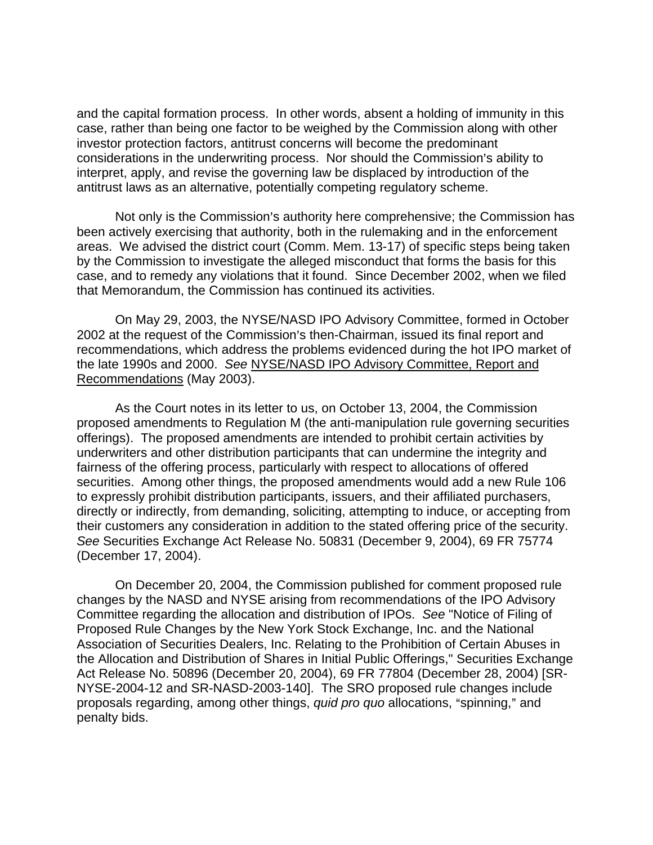and the capital formation process. In other words, absent a holding of immunity in this case, rather than being one factor to be weighed by the Commission along with other investor protection factors, antitrust concerns will become the predominant considerations in the underwriting process. Nor should the Commission's ability to interpret, apply, and revise the governing law be displaced by introduction of the antitrust laws as an alternative, potentially competing regulatory scheme.

Not only is the Commission's authority here comprehensive; the Commission has been actively exercising that authority, both in the rulemaking and in the enforcement areas. We advised the district court (Comm. Mem. 13-17) of specific steps being taken by the Commission to investigate the alleged misconduct that forms the basis for this case, and to remedy any violations that it found. Since December 2002, when we filed that Memorandum, the Commission has continued its activities.

On May 29, 2003, the NYSE/NASD IPO Advisory Committee, formed in October 2002 at the request of the Commission's then-Chairman, issued its final report and recommendations, which address the problems evidenced during the hot IPO market of the late 1990s and 2000. *See* NYSE/NASD IPO Advisory Committee, Report and Recommendations (May 2003).

As the Court notes in its letter to us, on October 13, 2004, the Commission proposed amendments to Regulation M (the anti-manipulation rule governing securities offerings). The proposed amendments are intended to prohibit certain activities by underwriters and other distribution participants that can undermine the integrity and fairness of the offering process, particularly with respect to allocations of offered securities. Among other things, the proposed amendments would add a new Rule 106 to expressly prohibit distribution participants, issuers, and their affiliated purchasers, directly or indirectly, from demanding, soliciting, attempting to induce, or accepting from their customers any consideration in addition to the stated offering price of the security. *See* Securities Exchange Act Release No. 50831 (December 9, 2004), 69 FR 75774 (December 17, 2004).

On December 20, 2004, the Commission published for comment proposed rule changes by the NASD and NYSE arising from recommendations of the IPO Advisory Committee regarding the allocation and distribution of IPOs. *See* "Notice of Filing of Proposed Rule Changes by the New York Stock Exchange, Inc. and the National Association of Securities Dealers, Inc. Relating to the Prohibition of Certain Abuses in the Allocation and Distribution of Shares in Initial Public Offerings," Securities Exchange Act Release No. 50896 (December 20, 2004), 69 FR 77804 (December 28, 2004) [SR-NYSE-2004-12 and SR-NASD-2003-140]. The SRO proposed rule changes include proposals regarding, among other things, *quid pro quo* allocations, "spinning," and penalty bids.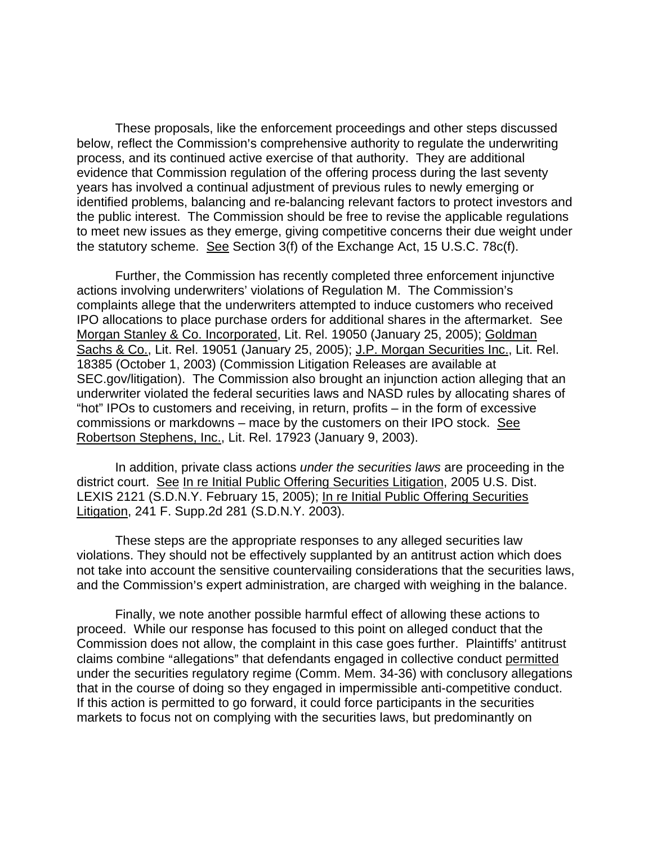These proposals, like the enforcement proceedings and other steps discussed below, reflect the Commission's comprehensive authority to regulate the underwriting process, and its continued active exercise of that authority. They are additional evidence that Commission regulation of the offering process during the last seventy years has involved a continual adjustment of previous rules to newly emerging or identified problems, balancing and re-balancing relevant factors to protect investors and the public interest. The Commission should be free to revise the applicable regulations to meet new issues as they emerge, giving competitive concerns their due weight under the statutory scheme. See Section 3(f) of the Exchange Act, 15 U.S.C. 78c(f).

Further, the Commission has recently completed three enforcement injunctive actions involving underwriters' violations of Regulation M. The Commission's complaints allege that the underwriters attempted to induce customers who received IPO allocations to place purchase orders for additional shares in the aftermarket. See Morgan Stanley & Co. Incorporated, Lit. Rel. 19050 (January 25, 2005); Goldman Sachs & Co., Lit. Rel. 19051 (January 25, 2005); J.P. Morgan Securities Inc., Lit. Rel. 18385 (October 1, 2003) (Commission Litigation Releases are available at SEC.gov/litigation). The Commission also brought an injunction action alleging that an underwriter violated the federal securities laws and NASD rules by allocating shares of "hot" IPOs to customers and receiving, in return, profits – in the form of excessive commissions or markdowns – mace by the customers on their IPO stock. See Robertson Stephens, Inc., Lit. Rel. 17923 (January 9, 2003).

In addition, private class actions *under the securities laws* are proceeding in the district court. See In re Initial Public Offering Securities Litigation, 2005 U.S. Dist. LEXIS 2121 (S.D.N.Y. February 15, 2005); In re Initial Public Offering Securities Litigation, 241 F. Supp.2d 281 (S.D.N.Y. 2003).

These steps are the appropriate responses to any alleged securities law violations. They should not be effectively supplanted by an antitrust action which does not take into account the sensitive countervailing considerations that the securities laws, and the Commission's expert administration, are charged with weighing in the balance.

Finally, we note another possible harmful effect of allowing these actions to proceed. While our response has focused to this point on alleged conduct that the Commission does not allow, the complaint in this case goes further. Plaintiffs' antitrust claims combine "allegations" that defendants engaged in collective conduct permitted under the securities regulatory regime (Comm. Mem. 34-36) with conclusory allegations that in the course of doing so they engaged in impermissible anti-competitive conduct. If this action is permitted to go forward, it could force participants in the securities markets to focus not on complying with the securities laws, but predominantly on